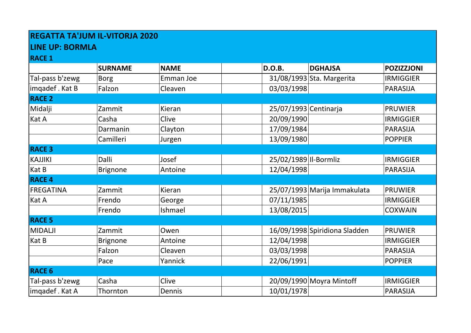## **REGATTA TA'JUM IL-VITORJA 2020**

## **LINE UP: BORMLA**

**RACE 1**

| INALL T          |                 |             |                       |                               |                   |
|------------------|-----------------|-------------|-----------------------|-------------------------------|-------------------|
|                  | <b>SURNAME</b>  | <b>NAME</b> | <b>D.O.B.</b>         | <b>DGHAJSA</b>                | <b>POZIZZJONI</b> |
| Tal-pass b'zewg  | <b>Borg</b>     | Emman Joe   |                       | 31/08/1993 Sta. Margerita     | <b>IRMIGGIER</b>  |
| imqadef. Kat B   | Falzon          | Cleaven     | 03/03/1998            |                               | <b>PARASIJA</b>   |
| <b>RACE 2</b>    |                 |             |                       |                               |                   |
| Midalji          | Zammit          | Kieran      | 25/07/1993 Centinarja |                               | <b>PRUWIER</b>    |
| Kat A            | Casha           | Clive       | 20/09/1990            |                               | <b>IRMIGGIER</b>  |
|                  | Darmanin        | Clayton     | 17/09/1984            |                               | <b>PARASIJA</b>   |
|                  | Camilleri       | Jurgen      | 13/09/1980            |                               | <b>POPPIER</b>    |
| <b>RACE 3</b>    |                 |             |                       |                               |                   |
| <b>KAJJIKI</b>   | Dalli           | Josef       | 25/02/1989 Il-Bormliz |                               | <b>IRMIGGIER</b>  |
| Kat B            | <b>Brignone</b> | Antoine     | 12/04/1998            |                               | <b>PARASIJA</b>   |
| <b>RACE 4</b>    |                 |             |                       |                               |                   |
| <b>FREGATINA</b> | Zammit          | Kieran      |                       | 25/07/1993 Marija Immakulata  | <b>PRUWIER</b>    |
| Kat A            | Frendo          | George      | 07/11/1985            |                               | <b>IRMIGGIER</b>  |
|                  | Frendo          | Ishmael     | 13/08/2015            |                               | <b>COXWAIN</b>    |
| <b>RACE 5</b>    |                 |             |                       |                               |                   |
| <b>MIDALJI</b>   | Zammit          | Owen        |                       | 16/09/1998 Spiridiona Sladden | <b>PRUWIER</b>    |
| Kat B            | <b>Brignone</b> | Antoine     | 12/04/1998            |                               | <b>IRMIGGIER</b>  |
|                  | Falzon          | Cleaven     | 03/03/1998            |                               | <b>PARASIJA</b>   |
|                  | Pace            | Yannick     | 22/06/1991            |                               | <b>POPPIER</b>    |
| <b>RACE 6</b>    |                 |             |                       |                               |                   |
| Tal-pass b'zewg  | Casha           | Clive       |                       | 20/09/1990 Moyra Mintoff      | <b>IRMIGGIER</b>  |
| imqadef. Kat A   | Thornton        | Dennis      | 10/01/1978            |                               | <b>PARASIJA</b>   |